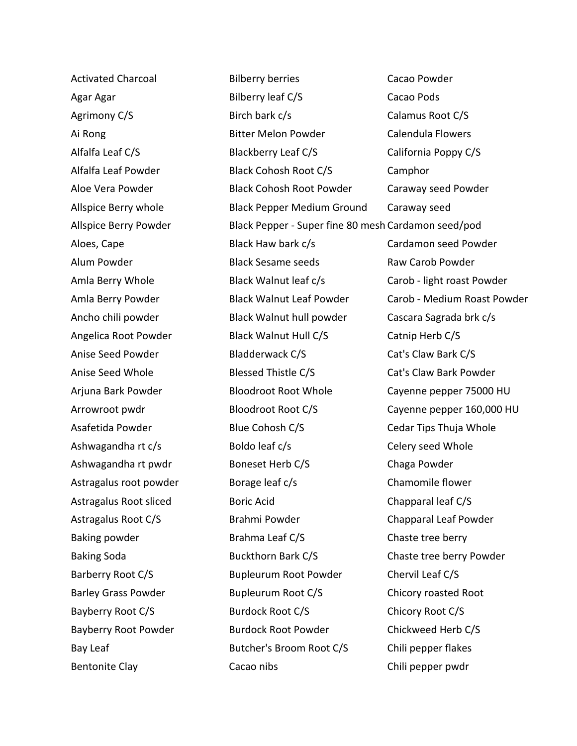Activated Charcoal Agar Agar Agrimony C/S Ai Rong Alfalfa Leaf C/S Alfalfa Leaf Powder Aloe Vera Powder Allspice Berry whole Allspice Berry Powder Aloes, Cape Alum Powder Amla Berry Whole Amla Berry Powder Ancho chili powder Angelica Root Powder Anise Seed Powder Anise Seed Whole Arjuna Bark Powder Arrowroot pwdr Asafetida Powder Ashwagandha rt c/s Ashwagandha rt pwdr Astragalus root powder Astragalus Root sliced Astragalus Root C/S Baking powder Baking Soda Barberry Root C/S Barley Grass Powder Bayberry Root C/S Bayberry Root Powder Bay Leaf Bentonite Clay

Bilberry berries Bilberry leaf C/S Birch bark c/s Bitter Melon Powder Blackberry Leaf C/S Black Cohosh Root C/S Black Cohosh Root Powder Black Pepper Medium Ground Black Pepper - Super fine 80 mesh Cardamon seed/pod Black Haw bark c/s Black Sesame seeds Black Walnut leaf c/s Black Walnut Leaf Powder Black Walnut hull powder Black Walnut Hull C/S Bladderwack C/S Blessed Thistle C/S Bloodroot Root Whole Bloodroot Root C/S Blue Cohosh C/S Boldo leaf c/s Boneset Herb C/S Borage leaf c/s Boric Acid Brahmi Powder Brahma Leaf C/S Buckthorn Bark C/S Bupleurum Root Powder Bupleurum Root C/S Burdock Root C/S Burdock Root Powder Butcher's Broom Root C/S Cacao nibs Cacao Powder

Cacao Pods Calamus Root C/S Calendula Flowers California Poppy C/S Camphor Caraway seed Powder Caraway seed Cardamon seed Powder Raw Carob Powder Carob - light roast Powder Carob - Medium Roast Powder Cascara Sagrada brk c/s Catnip Herb C/S Cat's Claw Bark C/S Cat's Claw Bark Powder Cayenne pepper 75000 HU Cayenne pepper 160,000 HU Cedar Tips Thuja Whole Celery seed Whole Chaga Powder Chamomile flower Chapparal leaf C/S Chapparal Leaf Powder Chaste tree berry Chaste tree berry Powder Chervil Leaf C/S Chicory roasted Root Chicory Root C/S Chickweed Herb C/S Chili pepper flakes Chili pepper pwdr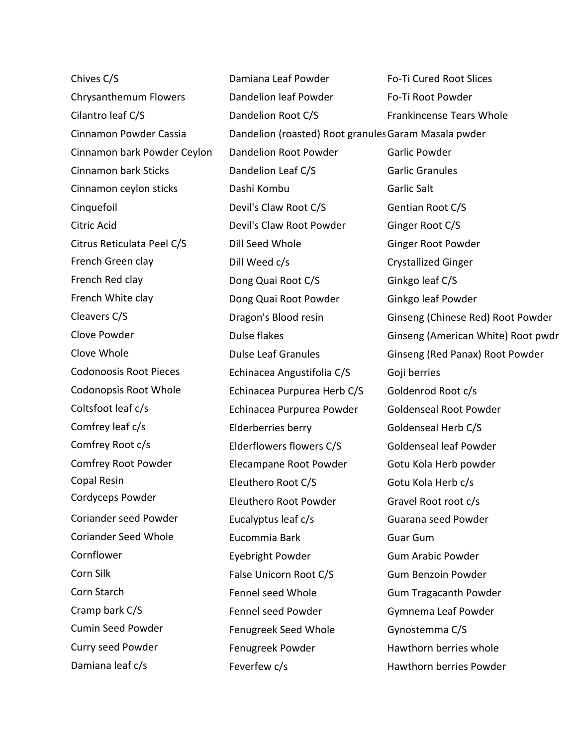Chives C/S Chrysanthemum Flowers Cilantro leaf C/S Cinnamon Powder Cassia Cinnamon bark Powder Ceylon Cinnamon bark Sticks Cinnamon ceylon sticks Cinquefoil Citric Acid Citrus Reticulata Peel C/S French Green clay French Red clay French White clay Cleavers C/S Clove Powder Clove Whole Codonoosis Root Pieces Codonopsis Root Whole Coltsfoot leaf c/s Comfrey leaf c/s Comfrey Root c/s Comfrey Root Powder Copal Resin Cordyceps Powder Coriander seed Powder Coriander Seed Whole Cornflower Corn Silk Corn Starch Cramp bark C/S Cumin Seed Powder Curry seed Powder Damiana leaf c/s

Damiana Leaf Powder Dandelion leaf Powder Dandelion Root C/S Dandelion (roasted) Root granules Garam Masala pwder Dandelion Root Powder Dandelion Leaf C/S Dashi Kombu Devil's Claw Root C/S Devil's Claw Root Powder Dill Seed Whole Dill Weed c/s Dong Quai Root C/S Dong Quai Root Powder Dragon's Blood resin Dulse flakes Dulse Leaf Granules Echinacea Angustifolia C/S Echinacea Purpurea Herb C/S Echinacea Purpurea Powder Elderberries berry Elderflowers flowers C/S Elecampane Root Powder Eleuthero Root C/S Eleuthero Root Powder Eucalyptus leaf c/s Eucommia Bark Eyebright Powder False Unicorn Root C/S Fennel seed Whole Fennel seed Powder Fenugreek Seed Whole Fenugreek Powder Feverfew c/s

Fo-Ti Cured Root Slices Fo-Ti Root Powder Frankincense Tears Whole Garlic Powder Garlic Granules Garlic Salt Gentian Root C/S Ginger Root C/S Ginger Root Powder Crystallized Ginger Ginkgo leaf C/S Ginkgo leaf Powder Ginseng (Chinese Red) Root Powder Ginseng (American White) Root pwdr Ginseng (Red Panax) Root Powder Goji berries Goldenrod Root c/s Goldenseal Root Powder Goldenseal Herb C/S Goldenseal leaf Powder Gotu Kola Herb powder Gotu Kola Herb c/s Gravel Root root c/s Guarana seed Powder Guar Gum Gum Arabic Powder Gum Benzoin Powder Gum Tragacanth Powder Gymnema Leaf Powder Gynostemma C/S Hawthorn berries whole Hawthorn berries Powder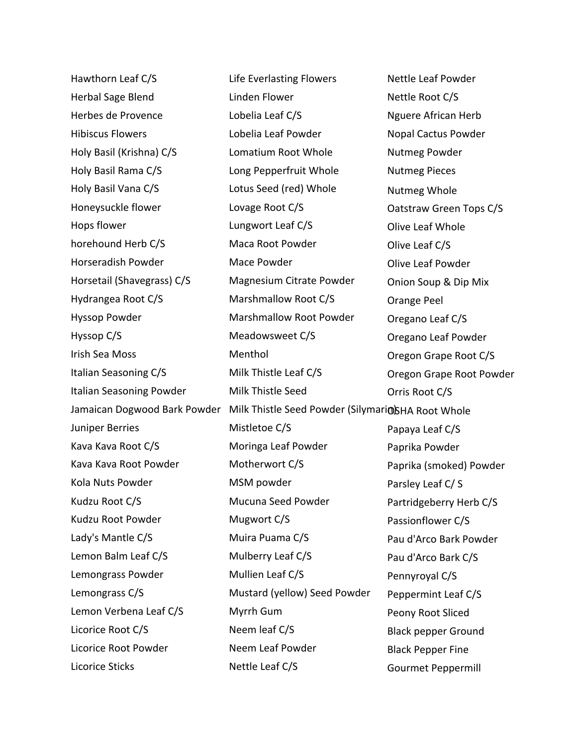| Hawthorn Leaf C/S          | Life Everlasting Flowers                                                         | Nettle Leaf Powder         |
|----------------------------|----------------------------------------------------------------------------------|----------------------------|
| Herbal Sage Blend          | Linden Flower                                                                    | Nettle Root C/S            |
| Herbes de Provence         | Lobelia Leaf C/S                                                                 | <b>Nguere African Herb</b> |
| <b>Hibiscus Flowers</b>    | Lobelia Leaf Powder                                                              | Nopal Cactus Powder        |
| Holy Basil (Krishna) C/S   | Lomatium Root Whole                                                              | Nutmeg Powder              |
| Holy Basil Rama C/S        | Long Pepperfruit Whole                                                           | <b>Nutmeg Pieces</b>       |
| Holy Basil Vana C/S        | Lotus Seed (red) Whole                                                           | Nutmeg Whole               |
| Honeysuckle flower         | Lovage Root C/S                                                                  | Oatstraw Green Tops C/S    |
| Hops flower                | Lungwort Leaf C/S                                                                | Olive Leaf Whole           |
| horehound Herb C/S         | Maca Root Powder                                                                 | Olive Leaf C/S             |
| Horseradish Powder         | Mace Powder                                                                      | Olive Leaf Powder          |
| Horsetail (Shavegrass) C/S | Magnesium Citrate Powder                                                         | Onion Soup & Dip Mix       |
| Hydrangea Root C/S         | Marshmallow Root C/S                                                             | Orange Peel                |
| <b>Hyssop Powder</b>       | <b>Marshmallow Root Powder</b>                                                   | Oregano Leaf C/S           |
| Hyssop C/S                 | Meadowsweet C/S                                                                  | Oregano Leaf Powder        |
| Irish Sea Moss             | Menthol                                                                          | Oregon Grape Root C/S      |
| Italian Seasoning C/S      | Milk Thistle Leaf C/S                                                            | Oregon Grape Root Powder   |
| Italian Seasoning Powder   | Milk Thistle Seed                                                                | Orris Root C/S             |
|                            | Jamaican Dogwood Bark Powder Milk Thistle Seed Powder (Silymario) SHA Root Whole |                            |
| Juniper Berries            | Mistletoe C/S                                                                    | Papaya Leaf C/S            |
| Kava Kava Root C/S         | Moringa Leaf Powder                                                              | Paprika Powder             |
| Kava Kava Root Powder      | Motherwort C/S                                                                   | Paprika (smoked) Powder    |
| Kola Nuts Powder           | MSM powder                                                                       | Parsley Leaf C/S           |
| Kudzu Root C/S             | Mucuna Seed Powder                                                               | Partridgeberry Herb C/S    |
| Kudzu Root Powder          | Mugwort C/S                                                                      | Passionflower C/S          |
| Lady's Mantle C/S          | Muira Puama C/S                                                                  | Pau d'Arco Bark Powder     |
| Lemon Balm Leaf C/S        | Mulberry Leaf C/S                                                                | Pau d'Arco Bark C/S        |
| Lemongrass Powder          | Mullien Leaf C/S                                                                 | Pennyroyal C/S             |
| Lemongrass C/S             | Mustard (yellow) Seed Powder                                                     | Peppermint Leaf C/S        |
| Lemon Verbena Leaf C/S     | Myrrh Gum                                                                        | Peony Root Sliced          |
| Licorice Root C/S          | Neem leaf C/S                                                                    | <b>Black pepper Ground</b> |
| Licorice Root Powder       | Neem Leaf Powder                                                                 | <b>Black Pepper Fine</b>   |
| Licorice Sticks            | Nettle Leaf C/S                                                                  | <b>Gourmet Peppermill</b>  |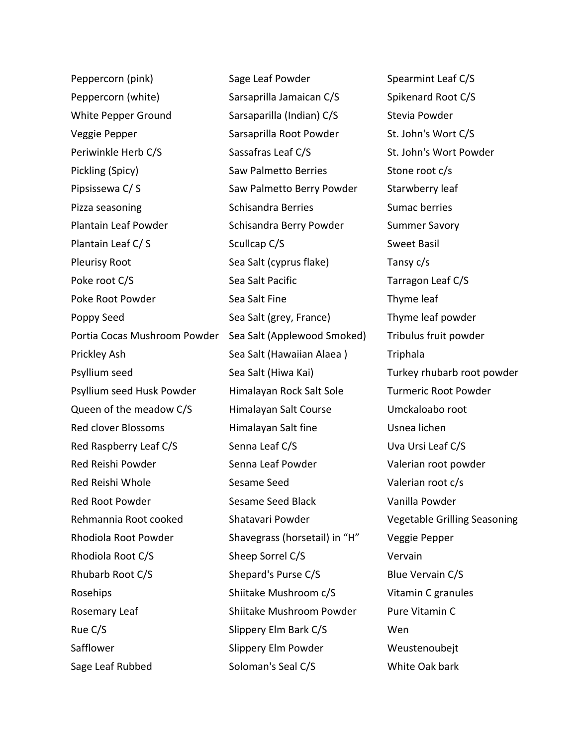Peppercorn (pink) Peppercorn (white) White Pepper Ground Veggie Pepper Periwinkle Herb C/S Pickling (Spicy) Pipsissewa C/ S Pizza seasoning Plantain Leaf Powder Plantain Leaf C/ S Pleurisy Root Poke root C/S Poke Root Powder Poppy Seed Portia Cocas Mushroom Powder Prickley Ash Psyllium seed Psyllium seed Husk Powder Queen of the meadow C/S Red clover Blossoms Red Raspberry Leaf C/S Red Reishi Powder Red Reishi Whole Red Root Powder Rehmannia Root cooked Rhodiola Root Powder Rhodiola Root C/S Rhubarb Root C/S Rosehips Rosemary Leaf Rue C/S Safflower Sage Leaf Rubbed

Sage Leaf Powder Sarsaprilla Jamaican C/S Sarsaparilla (Indian) C/S Sarsaprilla Root Powder Sassafras Leaf C/S Saw Palmetto Berries Saw Palmetto Berry Powder Schisandra Berries Schisandra Berry Powder Scullcap C/S Sea Salt (cyprus flake) Sea Salt Pacific Sea Salt Fine Sea Salt (grey, France) Sea Salt (Applewood Smoked) Sea Salt (Hawaiian Alaea ) Sea Salt (Hiwa Kai) Himalayan Rock Salt Sole Himalayan Salt Course Himalayan Salt fine Senna Leaf C/S Senna Leaf Powder Sesame Seed Sesame Seed Black Shatavari Powder Shavegrass (horsetail) in "H" Sheep Sorrel C/S Shepard's Purse C/S Shiitake Mushroom c/S Shiitake Mushroom Powder Slippery Elm Bark C/S Slippery Elm Powder Soloman's Seal C/S

Spearmint Leaf C/S Spikenard Root C/S Stevia Powder St. John's Wort C/S St. John's Wort Powder Stone root c/s Starwberry leaf Sumac berries Summer Savory Sweet Basil Tansy c/s Tarragon Leaf C/S Thyme leaf Thyme leaf powder Tribulus fruit powder Triphala Turkey rhubarb root powder Turmeric Root Powder Umckaloabo root Usnea lichen Uva Ursi Leaf C/S Valerian root powder Valerian root c/s Vanilla Powder Vegetable Grilling Seasoning Veggie Pepper Vervain Blue Vervain C/S Vitamin C granules Pure Vitamin C Wen Weustenoubejt White Oak bark